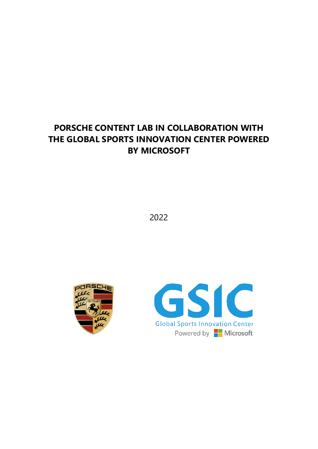# **PORSCHE CONTENT LAB IN COLLABORATION WITH THE GLOBAL SPORTS INNOVATION CENTER POWERED BY MICROSOFT**

2022



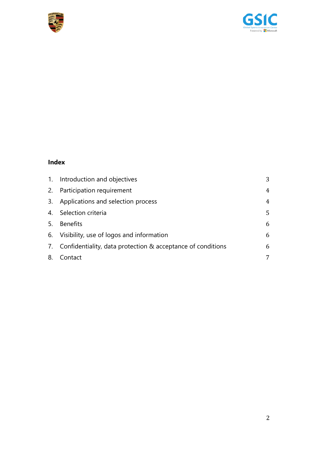



### **Index**

|    | 1. Introduction and objectives                                 | 3              |
|----|----------------------------------------------------------------|----------------|
|    | 2. Participation requirement                                   | $\overline{4}$ |
|    | 3. Applications and selection process                          | $\overline{4}$ |
|    | 4. Selection criteria                                          | 5              |
|    | 5. Benefits                                                    | 6              |
|    | 6. Visibility, use of logos and information                    | 6              |
|    | 7. Confidentiality, data protection & acceptance of conditions | 6              |
| 8. | Contact                                                        | 7              |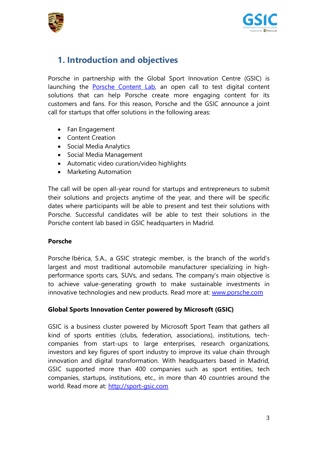



### <span id="page-2-0"></span>**1. Introduction and objectives**

Porsche in partnership with the Global Sport Innovation Centre (GSIC) is launching the [Porsche Content Lab,](https://porsche.sport-gsic.com/) an open call to test digital content solutions that can help Porsche create more engaging content for its customers and fans. For this reason, Porsche and the GSIC announce a joint call for startups that offer solutions in the following areas:

- Fan Engagement
- Content Creation
- Social Media Analytics
- Social Media Management
- Automatic video curation/video highlights
- Marketing Automation

The call will be open all-year round for startups and entrepreneurs to submit their solutions and projects anytime of the year, and there will be specific dates where participants will be able to present and test their solutions with Porsche. Successful candidates will be able to test their solutions in the Porsche content lab based in GSIC headquarters in Madrid.

#### **Porsche**

Porsche Ibérica, S.A., a GSIC strategic member, is the branch of the world's largest and most traditional automobile manufacturer specializing in highperformance sports cars, SUVs, and sedans. The company's main objective is to achieve value-generating growth to make sustainable investments in innovative technologies and new products. Read more at: [www.porsche.com](http://www.porsche.com/)

#### **Global Sports Innovation Center powered by Microsoft (GSIC)**

GSIC is a business cluster powered by Microsoft Sport Team that gathers all kind of sports entities (clubs, federation, associations), institutions, techcompanies from start-ups to large enterprises, research organizations, investors and key figures of sport industry to improve its value chain through innovation and digital transformation. With headquarters based in Madrid, GSIC supported more than 400 companies such as sport entities, tech companies, startups, institutions, etc., in more than 40 countries around the world. Read more at: [http://sport-gsic.com](http://sport-gsic.com/)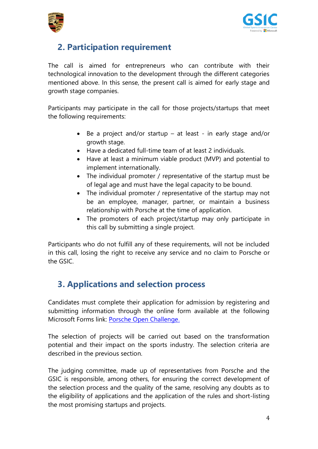



# <span id="page-3-0"></span>**2. Participation requirement**

The call is aimed for entrepreneurs who can contribute with their technological innovation to the development through the different categories mentioned above. In this sense, the present call is aimed for early stage and growth stage companies.

Participants may participate in the call for those projects/startups that meet the following requirements:

- Be a project and/or startup at least in early stage and/or growth stage.
- Have a dedicated full-time team of at least 2 individuals.
- Have at least a minimum viable product (MVP) and potential to implement internationally.
- The individual promoter / representative of the startup must be of legal age and must have the legal capacity to be bound.
- The individual promoter / representative of the startup may not be an employee, manager, partner, or maintain a business relationship with Porsche at the time of application.
- The promoters of each project/startup may only participate in this call by submitting a single project.

Participants who do not fulfill any of these requirements, will not be included in this call, losing the right to receive any service and no claim to Porsche or the GSIC.

# <span id="page-3-1"></span>**3. Applications and selection process**

Candidates must complete their application for admission by registering and submitting information through the online form available at the following Microsoft Forms link: [Porsche Open Challenge.](https://forms.office.com/Pages/ResponsePage.aspx?id=7pkVKV6S_U-SVC_oZpNjqpNQSBr-K59Asnv7tGPpv-RUM1BXMTRSVExRRjRPM045VlU0TlhJSlZTQS4u)

The selection of projects will be carried out based on the transformation potential and their impact on the sports industry. The selection criteria are described in the previous section.

The judging committee, made up of representatives from Porsche and the GSIC is responsible, among others, for ensuring the correct development of the selection process and the quality of the same, resolving any doubts as to the eligibility of applications and the application of the rules and short-listing the most promising startups and projects.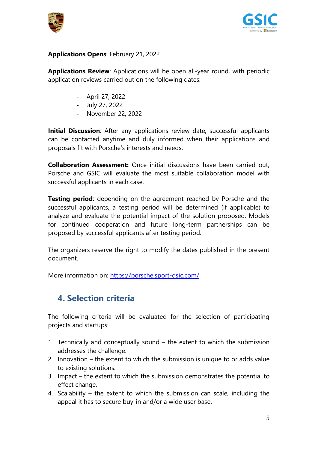



#### **Applications Opens**: February 21, 2022

**Applications Review**: Applications will be open all-year round, with periodic application reviews carried out on the following dates:

- April 27, 2022
- July 27, 2022
- November 22, 2022

**Initial Discussion**: After any applications review date, successful applicants can be contacted anytime and duly informed when their applications and proposals fit with Porsche's interests and needs.

**Collaboration Assessment:** Once initial discussions have been carried out, Porsche and GSIC will evaluate the most suitable collaboration model with successful applicants in each case.

**Testing period**: depending on the agreement reached by Porsche and the successful applicants, a testing period will be determined (if applicable) to analyze and evaluate the potential impact of the solution proposed. Models for continued cooperation and future long-term partnerships can be proposed by successful applicants after testing period.

The organizers reserve the right to modify the dates published in the present document.

<span id="page-4-0"></span>More information on:<https://porsche.sport-gsic.com/>

### **4. Selection criteria**

The following criteria will be evaluated for the selection of participating projects and startups:

- 1. Technically and conceptually sound the extent to which the submission addresses the challenge.
- 2. Innovation the extent to which the submission is unique to or adds value to existing solutions.
- 3. Impact the extent to which the submission demonstrates the potential to effect change.
- 4. Scalability the extent to which the submission can scale, including the appeal it has to secure buy-in and/or a wide user base.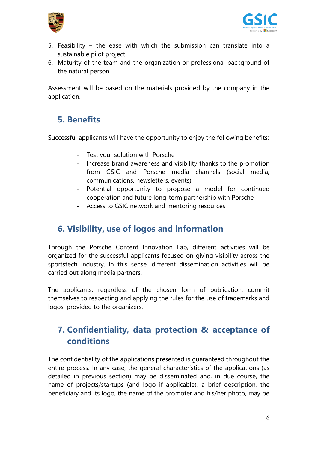



- 5. Feasibility the ease with which the submission can translate into a sustainable pilot project.
- 6. Maturity of the team and the organization or professional background of the natural person.

<span id="page-5-0"></span>Assessment will be based on the materials provided by the company in the application.

# **5. Benefits**

Successful applicants will have the opportunity to enjoy the following benefits:

- Test your solution with Porsche
- Increase brand awareness and visibility thanks to the promotion from GSIC and Porsche media channels (social media, communications, newsletters, events)
- Potential opportunity to propose a model for continued cooperation and future long-term partnership with Porsche
- Access to GSIC network and mentoring resources

# <span id="page-5-1"></span>**6. Visibility, use of logos and information**

Through the Porsche Content Innovation Lab, different activities will be organized for the successful applicants focused on giving visibility across the sportstech industry. In this sense, different dissemination activities will be carried out along media partners.

The applicants, regardless of the chosen form of publication, commit themselves to respecting and applying the rules for the use of trademarks and logos, provided to the organizers.

### <span id="page-5-2"></span>**7. Confidentiality, data protection & acceptance of conditions**

The confidentiality of the applications presented is guaranteed throughout the entire process. In any case, the general characteristics of the applications (as detailed in previous section) may be disseminated and, in due course, the name of projects/startups (and logo if applicable), a brief description, the beneficiary and its logo, the name of the promoter and his/her photo, may be